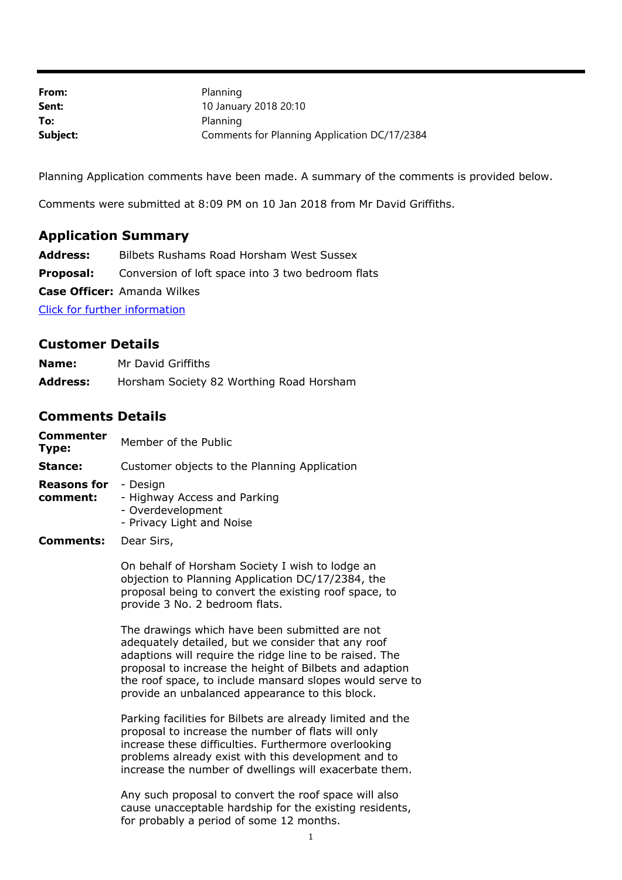| From:    | Planning                                     |
|----------|----------------------------------------------|
| Sent:    | 10 January 2018 20:10                        |
| To:      | Planning                                     |
| Subject: | Comments for Planning Application DC/17/2384 |

Planning Application comments have been made. A summary of the comments is provided below.

Comments were submitted at 8:09 PM on 10 Jan 2018 from Mr David Griffiths.

## **Application Summary**

**Address:** Bilbets Rushams Road Horsham West Sussex

**Proposal:** Conversion of loft space into 3 two bedroom flats

**Case Officer:** Amanda Wilkes

[Click for further information](https://public-access.horsham.gov.uk/public-access//centralDistribution.do?caseType=Application&keyVal=OYDTMAIJJM600)

## **Customer Details**

| Name:           | Mr David Griffiths                       |
|-----------------|------------------------------------------|
| <b>Address:</b> | Horsham Society 82 Worthing Road Horsham |

## **Comments Details**

| Commenter<br>Type:             | Member of the Public                                                                                                                                                                                                                                                                                                                      |
|--------------------------------|-------------------------------------------------------------------------------------------------------------------------------------------------------------------------------------------------------------------------------------------------------------------------------------------------------------------------------------------|
| Stance:                        | Customer objects to the Planning Application                                                                                                                                                                                                                                                                                              |
| <b>Reasons for</b><br>comment: | - Design<br>- Highway Access and Parking<br>- Overdevelopment<br>- Privacy Light and Noise                                                                                                                                                                                                                                                |
| Comments:                      | Dear Sirs,                                                                                                                                                                                                                                                                                                                                |
|                                | On behalf of Horsham Society I wish to lodge an<br>objection to Planning Application DC/17/2384, the<br>proposal being to convert the existing roof space, to<br>provide 3 No. 2 bedroom flats.                                                                                                                                           |
|                                | The drawings which have been submitted are not<br>adequately detailed, but we consider that any roof<br>adaptions will require the ridge line to be raised. The<br>proposal to increase the height of Bilbets and adaption<br>the roof space, to include mansard slopes would serve to<br>provide an unbalanced appearance to this block. |
|                                | Parking facilities for Bilbets are already limited and the<br>proposal to increase the number of flats will only<br>increase these difficulties. Furthermore overlooking<br>problems already exist with this development and to<br>increase the number of dwellings will exacerbate them.                                                 |
|                                | Any such proposal to convert the roof space will also<br>cause unacceptable hardship for the existing residents,<br>for probably a period of some 12 months.                                                                                                                                                                              |